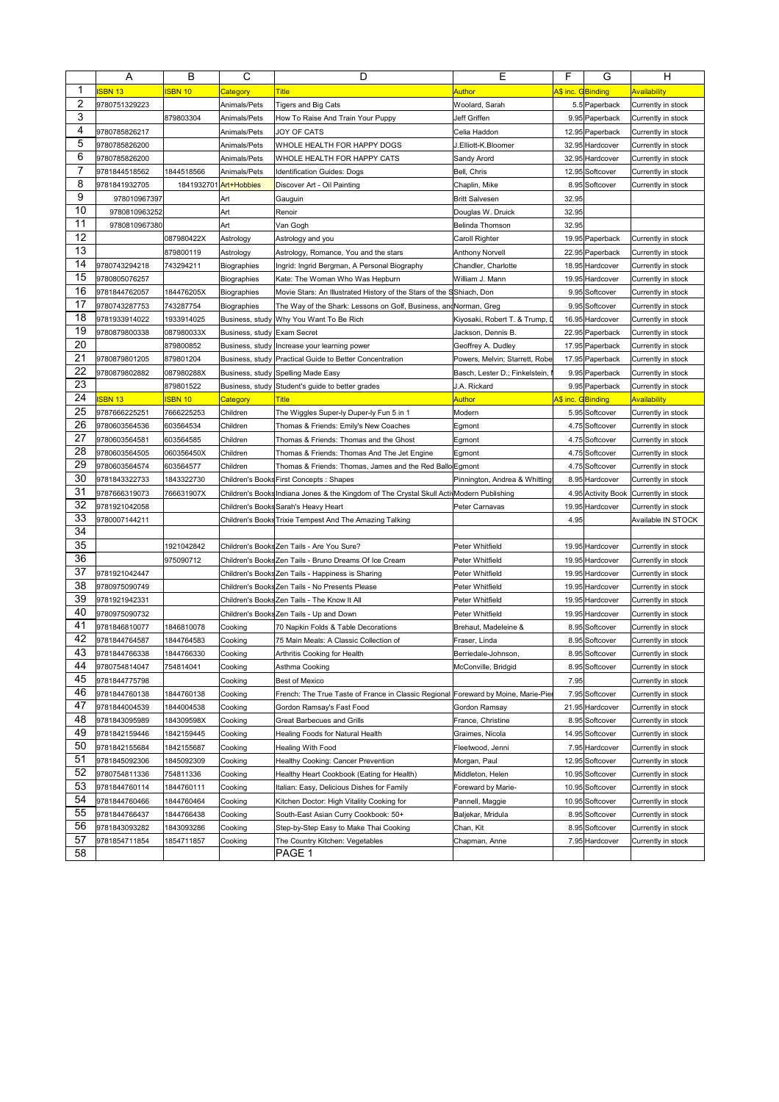|                | Α                              | в                        | С                           | D                                                                                        | Ε                                          | F                 | G                                | н                                        |
|----------------|--------------------------------|--------------------------|-----------------------------|------------------------------------------------------------------------------------------|--------------------------------------------|-------------------|----------------------------------|------------------------------------------|
| 1              | <b>ISBN 13</b>                 | <b>ISBN 10</b>           | <mark>Category</mark>       | <b>Title</b>                                                                             | Author                                     | A\$ inc. GBinding |                                  | <mark>Availability</mark>                |
| $\overline{2}$ | 9780751329223                  |                          | Animals/Pets                | <b>Tigers and Big Cats</b>                                                               | Woolard, Sarah                             |                   | 5.5 Paperback                    | Currently in stock                       |
| 3              |                                | 879803304                | Animals/Pets                | How To Raise And Train Your Puppy                                                        | Jeff Griffen                               |                   | 9.95 Paperback                   | Currently in stock                       |
| 4              | 9780785826217                  |                          | Animals/Pets                | JOY OF CATS                                                                              | Celia Haddon                               |                   | 12.95 Paperback                  | Currently in stock                       |
| 5              | 9780785826200                  |                          | Animals/Pets                | WHOLE HEALTH FOR HAPPY DOGS                                                              | J.Elliott-K.Bloomer                        |                   | 32.95 Hardcover                  | Currently in stock                       |
| 6              | 9780785826200                  |                          | Animals/Pets                | WHOLE HEALTH FOR HAPPY CATS                                                              | Sandy Arord                                |                   | 32.95 Hardcover                  | Currently in stock                       |
| 7              | 9781844518562                  | 1844518566               | Animals/Pets                | Identification Guides: Dogs                                                              | Bell, Chris                                |                   | 12.95 Softcover                  | Currently in stock                       |
| 8              | 9781841932705                  |                          | 1841932701 Art+Hobbies      | Discover Art - Oil Painting                                                              | Chaplin, Mike                              |                   | 8.95 Softcover                   | Currently in stock                       |
| 9              | 978010967397                   |                          | Art                         | Gauguin                                                                                  | <b>Britt Salvesen</b>                      | 32.95             |                                  |                                          |
| 10             | 9780810963252                  |                          | Art                         | Renoir                                                                                   | Douglas W. Druick                          | 32.95             |                                  |                                          |
| 11             | 9780810967380                  |                          | Art                         | Van Gogh                                                                                 | Belinda Thomson                            | 32.95             |                                  |                                          |
| 12             |                                | 087980422X               | Astrology                   | Astrology and you                                                                        | Caroll Righter                             |                   | 19.95 Paperback                  | Currently in stock                       |
| 13             |                                | 879800119                | Astrology                   | Astrology, Romance, You and the stars                                                    | <b>Anthony Norvell</b>                     |                   | 22.95 Paperback                  | Currently in stock                       |
| 14             | 9780743294218                  | 743294211                | Biographies                 | Ingrid: Ingrid Bergman, A Personal Biography                                             | Chandler, Charlotte                        |                   | 18.95 Hardcover                  | Currently in stock                       |
| 15             | 9780805076257                  |                          | Biographies                 | Kate: The Woman Who Was Hepburn                                                          | William J. Mann                            |                   | 19.95 Hardcover                  | Currently in stock                       |
| 16             | 9781844762057                  | 184476205X               | Biographies                 | Movie Stars: An Illustrated History of the Stars of the SShiach, Don                     |                                            |                   | 9.95 Softcover                   | Currently in stock                       |
| 17             | 9780743287753                  | 743287754                | Biographies                 | The Way of the Shark: Lessons on Golf, Business, andNorman, Greg                         |                                            |                   | 9.95 Softcover                   | Currently in stock                       |
| 18             | 9781933914022                  | 1933914025               | Business, study             | Why You Want To Be Rich                                                                  | Kiyosaki, Robert T. & Trump, D             |                   | 16.95 Hardcover                  | Currently in stock                       |
| 19             | 9780879800338                  | 087980033X               | Business, study Exam Secret |                                                                                          | Jackson, Dennis B.                         |                   | 22.95 Paperback                  | Currently in stock                       |
| 20             |                                | 879800852                | Business, study             | Increase your learning power                                                             | Geoffrey A. Dudley                         |                   | 17.95 Paperback                  | Currently in stock                       |
| 21             | 9780879801205                  | 879801204                | Business, study             | Practical Guide to Better Concentration                                                  | Powers, Melvin; Starrett, Robe             |                   | 17.95 Paperback                  | Currently in stock                       |
| 22             | 9780879802882                  | 087980288X               |                             | Business, study Spelling Made Easy                                                       | Basch, Lester D.; Finkelstein,             |                   | 9.95 Paperback                   | Currently in stock                       |
| 23             |                                | 879801522                | Business, study             | Student's guide to better grades                                                         | J.A. Rickard                               |                   | 9.95 Paperback                   | Currently in stock                       |
| 24             | <b>ISBN 13</b>                 | <b>ISBN 10</b>           | Category                    | <b>Title</b>                                                                             | <b>Author</b>                              | A\$ inc. GBinding |                                  | Availability                             |
| 25             | 9787666225251                  | 7666225253               | Children                    | The Wiggles Super-ly Duper-ly Fun 5 in 1                                                 | Modern                                     |                   | 5.95 Softcover                   | Currently in stock                       |
| 26             | 9780603564536                  | 603564534                | Children                    | Thomas & Friends: Emily's New Coaches                                                    | Egmont                                     |                   | 4.75 Softcover                   | Currently in stock                       |
| 27             | 9780603564581                  | 603564585                | Children                    | Thomas & Friends: Thomas and the Ghost                                                   | Egmont                                     |                   | 4.75 Softcover                   | Currently in stock                       |
| 28             | 9780603564505                  | 060356450X               | Children                    | Thomas & Friends: Thomas And The Jet Engine                                              | Egmont                                     |                   | 4.75 Softcover                   | Currently in stock                       |
| 29             | 9780603564574                  | 603564577                | Children                    | Thomas & Friends: Thomas, James and the Red Ballo Egmont                                 |                                            |                   | 4.75 Softcover                   | Currently in stock                       |
| 30             | 9781843322733                  | 1843322730               |                             | Children's Books First Concepts : Shapes                                                 | Pinnington, Andrea & Whitting              |                   | 8.95 Hardcover                   | Currently in stock                       |
| 31             | 9787666319073                  | 766631907X               |                             | Children's Books Indiana Jones & the Kingdom of The Crystal Skull Acti Modern Publishing |                                            |                   | 4.95 Activity Book               | Currently in stock                       |
| 32             | 9781921042058                  |                          |                             | Children's Books Sarah's Heavy Heart                                                     | Peter Carnavas                             |                   | 19.95 Hardcover                  | Currently in stock                       |
| 33             | 9780007144211                  |                          |                             | Children's Books Trixie Tempest And The Amazing Talking                                  |                                            | 4.95              |                                  | Available IN STOCK                       |
| 34<br>35       |                                |                          |                             |                                                                                          |                                            |                   |                                  |                                          |
| 36             |                                | 1921042842               |                             | Children's Books Zen Tails - Are You Sure?                                               | Peter Whitfield                            |                   | 19.95 Hardcover                  | Currently in stock                       |
| 37             |                                | 975090712                |                             | Children's Books Zen Tails - Bruno Dreams Of Ice Cream                                   | Peter Whitfield                            |                   | 19.95 Hardcover                  | Currently in stock                       |
| 38             | 9781921042447                  |                          |                             | Children's Books Zen Tails - Happiness is Sharing                                        | Peter Whitfield                            |                   | 19.95 Hardcover                  | Currently in stock                       |
| 39             | 9780975090749                  |                          |                             | Children's Books Zen Tails - No Presents Please                                          | Peter Whitfield                            |                   | 19.95 Hardcover                  | Currently in stock                       |
| 40             | 9781921942331                  |                          |                             | Children's Books Zen Tails - The Know It All                                             | Peter Whitfield                            |                   | 19.95 Hardcover                  | Currently in stock                       |
| 41             | 9780975090732                  |                          |                             | Children's Books Zen Tails - Up and Down                                                 | Peter Whitfield                            |                   | 19.95 Hardcover                  | Currently in stock                       |
| 42             | 9781846810077<br>9781844764587 | 1846810078               | Cooking                     | 70 Napkin Folds & Table Decorations                                                      | Brehaut, Madeleine &                       |                   | 8.95 Softcover                   | Currently in stock                       |
| 43             | 9781844766338                  | 1844764583<br>1844766330 | Cooking                     | 75 Main Meals: A Classic Collection of                                                   | Fraser, Linda                              |                   | 8.95 Softcover<br>8.95 Softcover | Currently in stock                       |
| 44             | 9780754814047                  | 754814041                | Cooking<br>Cooking          | Arthritis Cooking for Health<br>Asthma Cooking                                           | Berriedale-Johnson,<br>McConville, Bridgid |                   | 8.95 Softcover                   | Currently in stock<br>Currently in stock |
| 45             | 9781844775798                  |                          |                             | <b>Best of Mexico</b>                                                                    |                                            | 7.95              |                                  |                                          |
| 46             | 9781844760138                  | 1844760138               | Cooking<br>Cooking          | French: The True Taste of France in Classic Regional Foreward by Moine, Marie-Pier       |                                            |                   | 7.95 Softcover                   | Currently in stock<br>Currently in stock |
| 47             | 9781844004539                  | 1844004538               | Cooking                     | Gordon Ramsay's Fast Food                                                                | Gordon Ramsay                              |                   | 21.95 Hardcover                  | Currently in stock                       |
| 48             | 9781843095989                  | 184309598X               | Cooking                     | Great Barbecues and Grills                                                               | France, Christine                          |                   | 8.95 Softcover                   | Currently in stock                       |
| 49             | 9781842159446                  | 1842159445               | Cooking                     | Healing Foods for Natural Health                                                         | Graimes, Nicola                            |                   | 14.95 Softcover                  | Currently in stock                       |
| 50             | 9781842155684                  | 1842155687               | Cooking                     | Healing With Food                                                                        | Fleetwood, Jenni                           |                   | 7.95 Hardcover                   | Currently in stock                       |
| 51             | 9781845092306                  | 1845092309               | Cooking                     | Healthy Cooking: Cancer Prevention                                                       | Morgan, Paul                               |                   | 12.95 Softcover                  | Currently in stock                       |
| 52             | 9780754811336                  | 754811336                | Cooking                     | Healthy Heart Cookbook (Eating for Health)                                               | Middleton, Helen                           |                   | 10.95 Softcover                  | Currently in stock                       |
| 53             | 9781844760114                  | 1844760111               | Cooking                     | Italian: Easy, Delicious Dishes for Family                                               | Foreward by Marie-                         |                   | 10.95 Softcover                  | Currently in stock                       |
| 54             | 9781844760466                  | 1844760464               | Cooking                     | Kitchen Doctor: High Vitality Cooking for                                                | Pannell, Maggie                            |                   | 10.95 Softcover                  | Currently in stock                       |
| 55             | 9781844766437                  | 1844766438               | Cooking                     | South-East Asian Curry Cookbook: 50+                                                     | Baljekar, Mridula                          |                   | 8.95 Softcover                   | Currently in stock                       |
| 56             | 9781843093282                  | 1843093286               | Cooking                     | Step-by-Step Easy to Make Thai Cooking                                                   | Chan, Kit                                  |                   | 8.95 Softcover                   | Currently in stock                       |
| 57             | 9781854711854                  | 1854711857               | Cooking                     | The Country Kitchen: Vegetables                                                          | Chapman, Anne                              |                   | 7.95 Hardcover                   | Currently in stock                       |
| 58             |                                |                          |                             | PAGE 1                                                                                   |                                            |                   |                                  |                                          |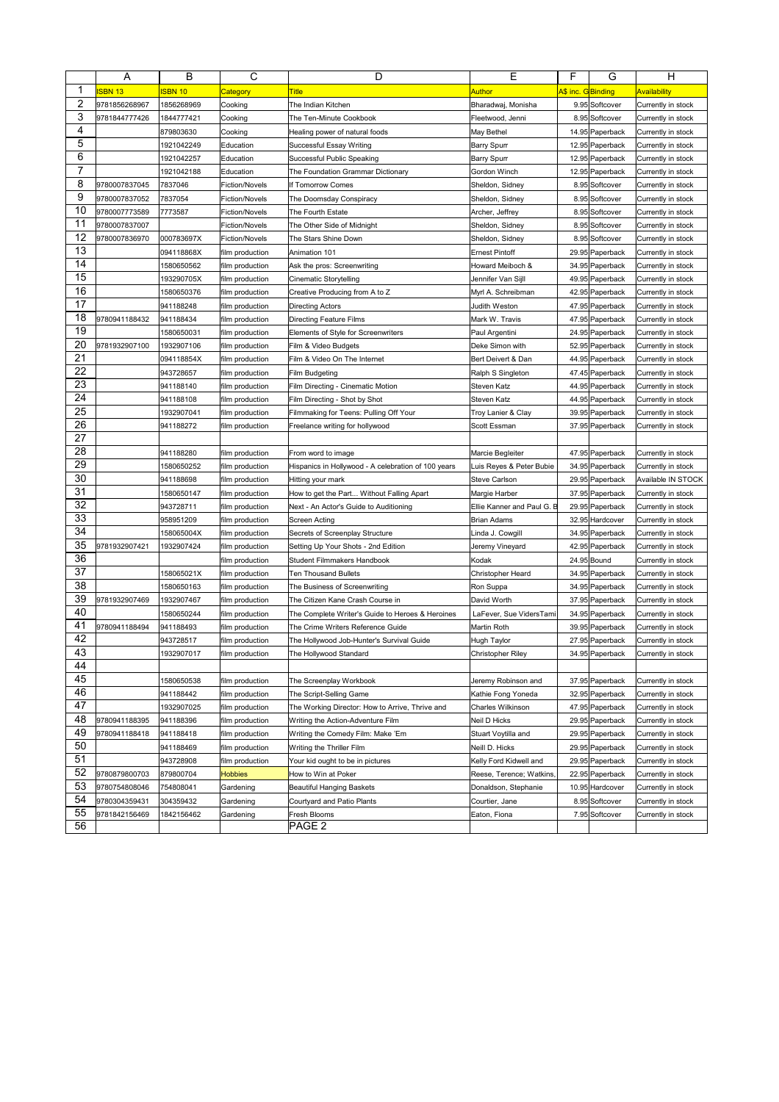|          | Α              | в              | С                     | D                                                   | Ε                          | F                 | G               | н                  |
|----------|----------------|----------------|-----------------------|-----------------------------------------------------|----------------------------|-------------------|-----------------|--------------------|
| 1        | <b>ISBN 13</b> | <b>ISBN 10</b> | <mark>Category</mark> | <b>Title</b>                                        | Author                     | A\$ inc. GBinding |                 | Availability       |
| 2        | 9781856268967  | 1856268969     | Cooking               | The Indian Kitchen                                  | Bharadwaj, Monisha         |                   | 9.95 Softcover  | Currently in stock |
| 3        | 9781844777426  | 1844777421     | Cooking               | The Ten-Minute Cookbook                             | Fleetwood, Jenni           |                   | 8.95 Softcover  | Currently in stock |
| 4        |                | 879803630      | Cooking               | Healing power of natural foods                      | May Bethel                 |                   | 14.95 Paperback | Currently in stock |
| 5        |                | 1921042249     | Education             | Successful Essay Writing                            | Barry Spurr                |                   | 12.95 Paperback | Currently in stock |
| 6        |                | 1921042257     | Education             | Successful Public Speaking                          | <b>Barry Spurr</b>         |                   | 12.95 Paperback | Currently in stock |
| 7        |                | 1921042188     | Education             | The Foundation Grammar Dictionary                   | Gordon Winch               |                   | 12.95 Paperback | Currently in stock |
| 8        | 9780007837045  | 7837046        | <b>Fiction/Novels</b> | If Tomorrow Comes                                   | Sheldon, Sidney            |                   | 8.95 Softcover  | Currently in stock |
| 9        | 9780007837052  | 7837054        | <b>Fiction/Novels</b> | The Doomsday Conspiracy                             | Sheldon, Sidney            |                   | 8.95 Softcover  | Currently in stock |
| 10       | 9780007773589  | 7773587        | <b>Fiction/Novels</b> | The Fourth Estate                                   | Archer, Jeffrey            |                   | 8.95 Softcover  | Currently in stock |
| 11       | 9780007837007  |                | Fiction/Novels        | The Other Side of Midnight                          | Sheldon, Sidney            |                   | 8.95 Softcover  | Currently in stock |
| 12       | 9780007836970  | 000783697X     | <b>Fiction/Novels</b> | The Stars Shine Down                                | Sheldon, Sidney            |                   | 8.95 Softcover  | Currently in stock |
| 13       |                | 094118868X     | film production       | Animation 101                                       | <b>Ernest Pintoff</b>      |                   | 29.95 Paperback | Currently in stock |
| 14       |                | 1580650562     | film production       | Ask the pros: Screenwriting                         | Howard Meiboch &           |                   | 34.95 Paperback | Currently in stock |
| 15       |                | 193290705X     | film production       | Cinematic Storytelling                              | Jennifer Van Sijll         |                   | 49.95 Paperback | Currently in stock |
| 16       |                | 1580650376     | film production       | Creative Producing from A to Z                      | Myrl A. Schreibman         |                   | 42.95 Paperback | Currently in stock |
| 17       |                | 941188248      | film production       | Directing Actors                                    | Judith Weston              |                   | 47.95 Paperback | Currently in stock |
| 18       | 9780941188432  | 941188434      | film production       | Directing Feature Films                             | Mark W. Travis             |                   | 47.95 Paperback | Currently in stock |
| 19       |                | 1580650031     | film production       | Elements of Style for Screenwriters                 | Paul Argentini             |                   | 24.95 Paperback | Currently in stock |
| 20       | 9781932907100  | 1932907106     | film production       | Film & Video Budgets                                | Deke Simon with            |                   | 52.95 Paperback | Currently in stock |
| 21       |                | 094118854X     | film production       | Film & Video On The Internet                        | Bert Deivert & Dan         |                   | 44.95 Paperback | Currently in stock |
| 22       |                | 943728657      | film production       | Film Budgeting                                      | Ralph S Singleton          |                   | 47.45 Paperback | Currently in stock |
| 23       |                | 941188140      | film production       | Film Directing - Cinematic Motion                   | Steven Katz                |                   | 44.95 Paperback | Currently in stock |
| 24       |                | 941188108      | film production       | Film Directing - Shot by Shot                       | Steven Katz                |                   | 44.95 Paperback | Currently in stock |
| 25       |                | 1932907041     | film production       | Filmmaking for Teens: Pulling Off Your              | Troy Lanier & Clay         |                   | 39.95 Paperback | Currently in stock |
| 26       |                | 941188272      | film production       | Freelance writing for hollywood                     | Scott Essman               |                   | 37.95 Paperback | Currently in stock |
| 27       |                |                |                       |                                                     |                            |                   |                 |                    |
| 28       |                | 941188280      | film production       | From word to image                                  | Marcie Begleiter           |                   | 47.95 Paperback | Currently in stock |
| 29       |                | 1580650252     | film production       | Hispanics in Hollywood - A celebration of 100 years | Luis Reyes & Peter Bubie   |                   | 34.95 Paperback | Currently in stock |
| 30       |                | 941188698      | film production       | Hitting your mark                                   | <b>Steve Carlson</b>       |                   | 29.95 Paperback | Available IN STOCK |
| 31       |                | 1580650147     | film production       | How to get the Part Without Falling Apart           | Margie Harber              |                   | 37.95 Paperback | Currently in stock |
| 32       |                | 943728711      | film production       | Next - An Actor's Guide to Auditioning              | Ellie Kanner and Paul G. B |                   | 29.95 Paperback | Currently in stock |
| 33       |                | 958951209      | film production       | Screen Acting                                       | Brian Adams                |                   | 32.95 Hardcover | Currently in stock |
| 34       |                | 158065004X     | film production       | Secrets of Screenplay Structure                     | Linda J. Cowgill           |                   | 34.95 Paperback | Currently in stock |
| 35       | 9781932907421  | 1932907424     | film production       | Setting Up Your Shots - 2nd Edition                 | Jeremy Vineyard            |                   | 42.95 Paperback | Currently in stock |
| 36       |                |                | film production       | Student Filmmakers Handbook                         | Kodak                      |                   | 24.95 Bound     | Currently in stock |
| 37       |                | 158065021X     | film production       | Ten Thousand Bullets                                | Christopher Heard          |                   | 34.95 Paperback | Currently in stock |
| 38       |                | 1580650163     | film production       | The Business of Screenwriting                       | Ron Suppa                  |                   | 34.95 Paperback | Currently in stock |
| 39       | 9781932907469  | 1932907467     | film production       | The Citizen Kane Crash Course in                    | David Worth                |                   | 37.95 Paperback | Currently in stock |
| 40       |                | 1580650244     | film production       | The Complete Writer's Guide to Heroes & Heroines    | LaFever, Sue VidersTami    |                   | 34.95 Paperback | Currently in stock |
| 41<br>42 | 9780941188494  | 941188493      | film production       | The Crime Writers Reference Guide                   | Martin Roth                |                   | 39.95 Paperback | Currently in stock |
| 43       |                | 943728517      | film production       | The Hollywood Job-Hunter's Survival Guide           | Hugh Taylor                |                   | 27.95 Paperback | Currently in stock |
| 44       |                | 1932907017     | film production       | The Hollywood Standard                              | Christopher Rilev          |                   | 34.95 Paperback | Currently in stock |
| 45       |                |                |                       |                                                     |                            |                   |                 |                    |
| 46       |                | 1580650538     | film production       | The Screenplay Workbook                             | Jeremy Robinson and        |                   | 37.95 Paperback | Currently in stock |
| 47       |                | 941188442      | film production       | The Script-Selling Game                             | Kathie Fong Yoneda         |                   | 32.95 Paperback | Currently in stock |
| 48       |                | 1932907025     | film production       | The Working Director: How to Arrive, Thrive and     | Charles Wilkinson          |                   | 47.95 Paperback | Currently in stock |
| 49       | 9780941188395  | 941188396      | film production       | Writing the Action-Adventure Film                   | Neil D Hicks               |                   | 29.95 Paperback | Currently in stock |
| 50       | 9780941188418  | 941188418      | film production       | Writing the Comedy Film: Make 'Em                   | Stuart Voytilla and        |                   | 29.95 Paperback | Currently in stock |
| 51       |                | 941188469      | film production       | Writing the Thriller Film                           | Neill D. Hicks             |                   | 29.95 Paperback | Currently in stock |
|          |                | 943728908      | film production       | Your kid ought to be in pictures                    | Kelly Ford Kidwell and     |                   | 29.95 Paperback | Currently in stock |
| 52       | 9780879800703  | 879800704      | <b>Hobbies</b>        | How to Win at Poker                                 | Reese, Terence; Watkins.   |                   | 22.95 Paperback | Currently in stock |
| 53<br>54 | 9780754808046  | 754808041      | Gardening             | Beautiful Hanging Baskets                           | Donaldson, Stephanie       |                   | 10.95 Hardcover | Currently in stock |
| 55       | 9780304359431  | 304359432      | Gardening             | Courtyard and Patio Plants                          | Courtier, Jane             |                   | 8.95 Softcover  | Currently in stock |
| 56       | 9781842156469  | 1842156462     | Gardening             | Fresh Blooms<br>PAGE 2                              | Eaton, Fiona               |                   | 7.95 Softcover  | Currently in stock |
|          |                |                |                       |                                                     |                            |                   |                 |                    |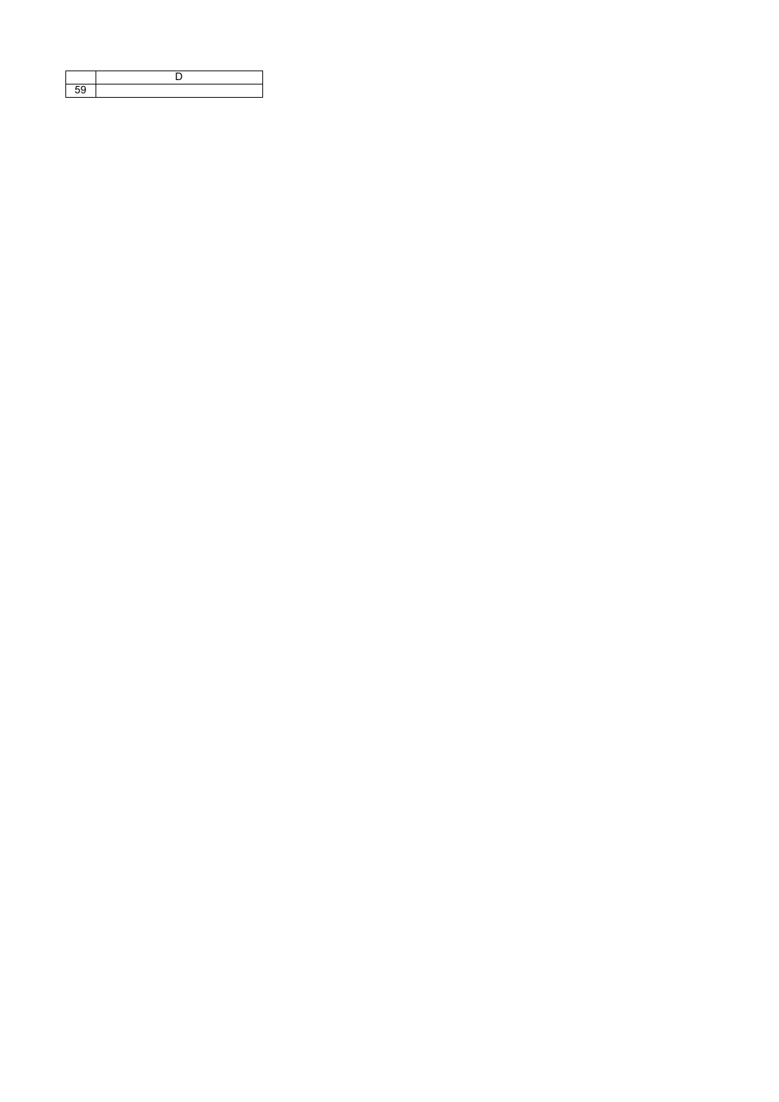| nu |  |
|----|--|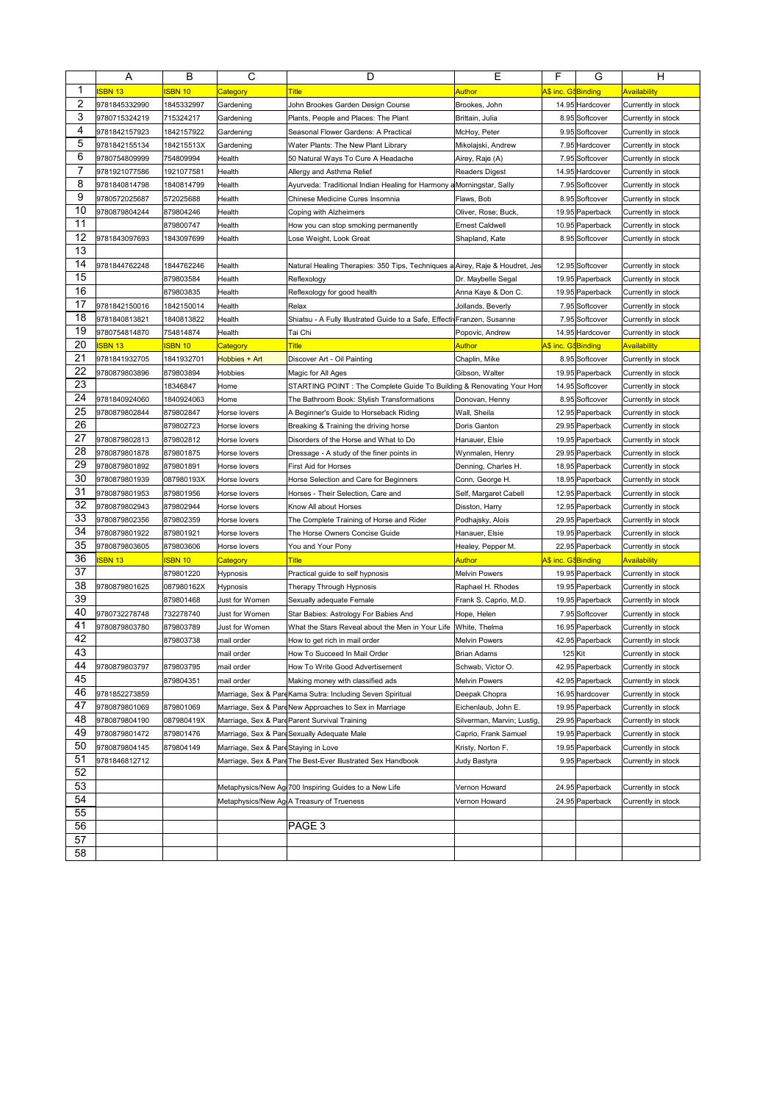|          | Α              | в              | C                                   | D                                                                            | Ε                          | F                   | G               | н                   |
|----------|----------------|----------------|-------------------------------------|------------------------------------------------------------------------------|----------------------------|---------------------|-----------------|---------------------|
| 1        | <b>ISBN 13</b> | <b>SBN 10</b>  | <b>Category</b>                     | <b>Title</b>                                                                 | Author                     | A\$ inc. G\$Binding |                 | <b>Availability</b> |
| 2        | 9781845332990  | 1845332997     | Gardening                           | John Brookes Garden Design Course                                            | Brookes, John              |                     | 14.95 Hardcover | Currently in stock  |
| 3        | 9780715324219  | 715324217      | Gardening                           | Plants, People and Places: The Plant                                         | Brittain, Julia            |                     | 8.95 Softcover  | Currently in stock  |
| 4        | 9781842157923  | 1842157922     | Gardening                           | Seasonal Flower Gardens: A Practical                                         | McHoy, Peter               |                     | 9.95 Softcover  | Currently in stock  |
| 5        | 9781842155134  | 184215513X     | Gardening                           | Water Plants: The New Plant Library                                          | Mikolajski, Andrew         |                     | 7.95 Hardcover  | Currently in stock  |
| 6        | 9780754809999  | 754809994      | Health                              | 50 Natural Ways To Cure A Headache                                           | Airey, Raje (A)            |                     | 7.95 Softcover  | Currently in stock  |
| 7        | 9781921077586  | 1921077581     | Health                              | Allergy and Asthma Relief                                                    | <b>Readers Digest</b>      |                     | 14.95 Hardcover | Currently in stock  |
| 8        | 9781840814798  | 1840814799     | Health                              | Ayurveda: Traditional Indian Healing for Harmony aMorningstar, Sally         |                            |                     | 7.95 Softcover  | Currently in stock  |
| 9        | 9780572025687  | 572025688      | Health                              | Chinese Medicine Cures Insomnia                                              | Flaws, Bob                 |                     | 8.95 Softcover  | Currently in stock  |
| 10       | 9780879804244  | 879804246      | Health                              | Coping with Alzheimers                                                       | Oliver, Rose; Buck,        |                     | 19.95 Paperback | Currently in stock  |
| 11       |                | 879800747      | Health                              | How you can stop smoking permanently                                         | <b>Ernest Caldwell</b>     |                     | 10.95 Paperback | Currently in stock  |
| 12       | 9781843097693  | 1843097699     | Health                              | Lose Weight, Look Great                                                      | Shapland, Kate             |                     | 8.95 Softcover  | Currently in stock  |
| 13       |                |                |                                     |                                                                              |                            |                     |                 |                     |
| 14       | 9781844762248  | 1844762246     | Health                              | Natural Healing Therapies: 350 Tips, Techniques a Airey, Raje & Houdret, Jes |                            |                     | 12.95 Softcover | Currently in stock  |
| 15       |                | 879803584      | Health                              | Reflexology                                                                  | Dr. Maybelle Segal         |                     | 19.95 Paperback | Currently in stock  |
| 16       |                | 879803835      | Health                              | Reflexology for good health                                                  | Anna Kaye & Don C.         |                     | 19.95 Paperback | Currently in stock  |
| 17       | 9781842150016  | 1842150014     | Health                              | Relax                                                                        | Jollands, Beverly          |                     | 7.95 Softcover  | Currently in stock  |
| 18       | 9781840813821  | 1840813822     | Health                              | Shiatsu - A Fully Illustrated Guide to a Safe, EffectivFranzen, Susanne      |                            |                     | 7.95 Softcover  | Currently in stock  |
| 19       | 9780754814870  | 754814874      | Health                              | Tai Chi                                                                      | Popovic, Andrew            |                     | 14.95 Hardcover | Currently in stock  |
| 20       | <b>ISBN 13</b> | <b>ISBN 10</b> | Category                            | <b>Title</b>                                                                 | Author                     | A\$ inc. G\$Binding |                 | <b>Availability</b> |
| 21       | 9781841932705  | 1841932701     | Hobbies + Art                       | Discover Art - Oil Painting                                                  | Chaplin, Mike              |                     | 8.95 Softcover  | Currently in stock  |
| 22       | 9780879803896  | 879803894      | Hobbies                             | Magic for All Ages                                                           | Gibson, Walter             |                     | 19.95 Paperback | Currently in stock  |
| 23       |                | 18346847       | Home                                | STARTING POINT : The Complete Guide To Building & Renovating Your Hon        |                            |                     | 14.95 Softcover | Currently in stock  |
| 24       | 9781840924060  | 1840924063     | Home                                | The Bathroom Book: Stylish Transformations                                   | Donovan, Henny             |                     | 8.95 Softcover  | Currently in stock  |
| 25       | 9780879802844  | 879802847      | Horse lovers                        | A Beginner's Guide to Horseback Riding                                       | Wall, Sheila               |                     | 12.95 Paperback | Currently in stock  |
| 26       |                | 879802723      | Horse lovers                        | Breaking & Training the driving horse                                        | Doris Ganton               |                     | 29.95 Paperback | Currently in stock  |
| 27       | 9780879802813  | 879802812      | Horse lovers                        | Disorders of the Horse and What to Do                                        | Hanauer, Elsie             |                     | 19.95 Paperback | Currently in stock  |
| 28       | 9780879801878  | 879801875      | Horse lovers                        | Dressage - A study of the finer points in                                    | Wynmalen, Henry            |                     | 29.95 Paperback | Currently in stock  |
| 29       | 9780879801892  | 879801891      | Horse lovers                        | First Aid for Horses                                                         | Denning, Charles H.        |                     | 18.95 Paperback | Currently in stock  |
| 30       | 9780879801939  | 087980193X     | Horse lovers                        | Horse Selection and Care for Beginners                                       | Conn, George H.            |                     | 18.95 Paperback | Currently in stock  |
| 31       | 9780879801953  | 879801956      | Horse lovers                        | Horses - Their Selection, Care and                                           | Self, Margaret Cabell      |                     | 12.95 Paperback | Currently in stock  |
| 32       | 9780879802943  | 879802944      | Horse lovers                        | Know All about Horses                                                        | Disston, Harry             |                     | 12.95 Paperback | Currently in stock  |
| 33       | 9780879802356  | 879802359      | Horse lovers                        | The Complete Training of Horse and Rider                                     | Podhajsky, Alois           |                     | 29.95 Paperback | Currently in stock  |
| 34       | 9780879801922  | 879801921      | Horse lovers                        | The Horse Owners Concise Guide                                               | Hanauer, Elsie             |                     | 19.95 Paperback | Currently in stock  |
| 35       | 9780879803605  | 879803606      | Horse lovers                        | You and Your Pony                                                            | Healey, Pepper M.          |                     | 22.95 Paperback | Currently in stock  |
| 36       | <b>ISBN 13</b> | <b>ISBN 10</b> | <mark>Category</mark>               | <b>Title</b>                                                                 | <b>Author</b>              | A\$ inc. G\$Binding |                 | <b>Availability</b> |
| 37       |                | 879801220      | Hypnosis                            | Practical guide to self hypnosis                                             | Melvin Powers              |                     | 19.95 Paperback | Currently in stock  |
| 38       | 9780879801625  | 087980162X     | Hypnosis                            | Therapy Through Hypnosis                                                     | Raphael H. Rhodes          |                     | 19.95 Paperback | Currently in stock  |
| 39       |                | 879801468      | Just for Women                      | Sexually adequate Female                                                     | Frank S. Caprio, M.D.      |                     | 19.95 Paperback | Currently in stock  |
| 40       | 9780732278748  | 732278740      | Just for Women                      | Star Babies: Astrology For Babies And                                        | Hope, Helen                |                     | 7.95 Softcover  | Currently in stock  |
| 41       | 9780879803780  | 879803789      | Just for Women                      | What the Stars Reveal about the Men in Your Life  White, Thelma              |                            |                     | 16.95 Paperback | Currently in stock  |
| 42       |                | 879803738      | mail order                          | How to get rich in mail order                                                | <b>Melvin Powers</b>       |                     | 42.95 Paperback | Currently in stock  |
| 43       |                |                | mail order                          | How To Succeed In Mail Order                                                 | Brian Adams                |                     | 125 Kit         | Currently in stock  |
| 44       | 9780879803797  | 879803795      | mail order                          | How To Write Good Advertisement                                              | Schwab, Victor O.          |                     | 42.95 Paperback | Currently in stock  |
| 45       |                | 879804351      | mail order                          | Making money with classified ads                                             | Melvin Powers              |                     | 42.95 Paperback | Currently in stock  |
| 46       | 9781852273859  |                |                                     | Marriage, Sex & PareKama Sutra: Including Seven Spiritual                    | Deepak Chopra              |                     | 16.95 hardcover | Currently in stock  |
| 47       | 9780879801069  | 879801069      |                                     | Marriage, Sex & PareNew Approaches to Sex in Marriage                        | Eichenlaub, John E.        |                     | 19.95 Paperback | Currently in stock  |
| 48       | 9780879804190  | 087980419X     |                                     | Marriage, Sex & Pare Parent Survival Training                                | Silverman, Marvin; Lustig, |                     | 29.95 Paperback | Currently in stock  |
| 49       | 9780879801472  | 879801476      |                                     | Marriage, Sex & PareSexually Adequate Male                                   | Caprio, Frank Samuel       |                     | 19.95 Paperback | Currently in stock  |
| 50       | 9780879804145  | 879804149      | Marriage, Sex & PareStaying in Love |                                                                              | Kristy, Norton F.          |                     | 19.95 Paperback | Currently in stock  |
| 51       | 9781846812712  |                |                                     | Marriage, Sex & Pare The Best-Ever Illustrated Sex Handbook                  | Judy Bastyra               |                     | 9.95 Paperback  | Currently in stock  |
| 52       |                |                |                                     |                                                                              |                            |                     |                 |                     |
| 53       |                |                |                                     | Metaphysics/New Ag 700 Inspiring Guides to a New Life                        | Vernon Howard              |                     | 24.95 Paperback | Currently in stock  |
| 54<br>55 |                |                |                                     | Metaphysics/New Ag A Treasury of Trueness                                    | Vernon Howard              |                     | 24.95 Paperback | Currently in stock  |
|          |                |                |                                     |                                                                              |                            |                     |                 |                     |
| 56       |                |                |                                     | PAGE 3                                                                       |                            |                     |                 |                     |
| 57       |                |                |                                     |                                                                              |                            |                     |                 |                     |
| 58       |                |                |                                     |                                                                              |                            |                     |                 |                     |